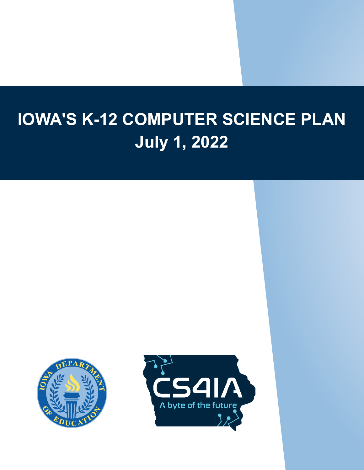## **IOWA'S K-12 COMPUTER SCIENCE PLAN July 1, 2022**



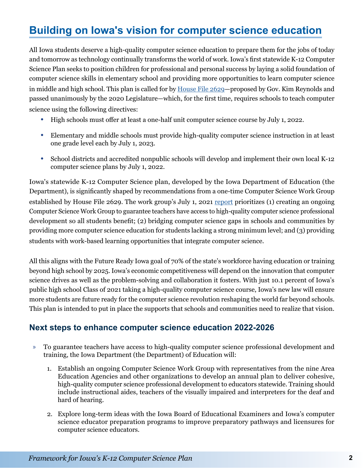## **Building on Iowa's vision for computer science education**

 and tomorrow as technology continually transforms the world of work. Iowa's first statewide K-12 Computer All Iowa students deserve a high-quality computer science education to prepare them for the jobs of today Science Plan seeks to position children for professional and personal success by laying a solid foundation of computer science skills in elementary school and providing more opportunities to learn computer science in middle and high school. This plan is called for by [House File 2629—](https://www.legis.iowa.gov/legislation/BillBook?ga=88&ba=hf2629)proposed by Gov. Kim Reynolds and passed unanimously by the 2020 Legislature—which, for the first time, requires schools to teach computer science using the following directives:

- High schools must offer at least a one-half unit computer science course by July 1, 2022.
- Elementary and middle schools must provide high-quality computer science instruction in at least one grade level each by July 1, 2023.
- School districts and accredited nonpublic schools will develop and implement their own local K-12 computer science plans by July 1, 2022.

 Iowa's statewide K-12 Computer Science plan, developed by the Iowa Department of Education (the established by House File 2629. The work group's July 1, 2021 <u>report</u> prioritizes (1) creating an ongoing Computer Science Work Group to guarantee teachers have access to high-quality computer science professional providing more computer science education for students lacking a strong minimum level; and (3) providing Department), is significantly shaped by recommendations from a one-time Computer Science Work Group development so all students benefit; (2) bridging computer science gaps in schools and communities by students with work-based learning opportunities that integrate computer science.

All this aligns with the Future Ready Iowa goal of 70% of the state's workforce having education or training beyond high school by 2025. Iowa's economic competitiveness will depend on the innovation that computer science drives as well as the problem-solving and collaboration it fosters. With just 10.1 percent of Iowa's public high school Class of 2021 taking a high-quality computer science course, Iowa's new law will ensure more students are future ready for the computer science revolution reshaping the world far beyond schools. This plan is intended to put in place the supports that schools and communities need to realize that vision.

## **Next steps to enhance computer science education 2022-2026**

- » To guarantee teachers have access to high-quality computer science professional development and training, the Iowa Department (the Department) of Education will:
	- Education Agencies and other organizations to develop an annual plan to deliver cohesive, include instructional aides, teachers of the visually impaired and interpreters for the deaf and 1. Establish an ongoing Computer Science Work Group with representatives from the nine Area high-quality computer science professional development to educators statewide. Training should hard of hearing.
	- 2. Explore long-term ideas with the Iowa Board of Educational Examiners and Iowa's computer science educator preparation programs to improve preparatory pathways and licensures for computer science educators.